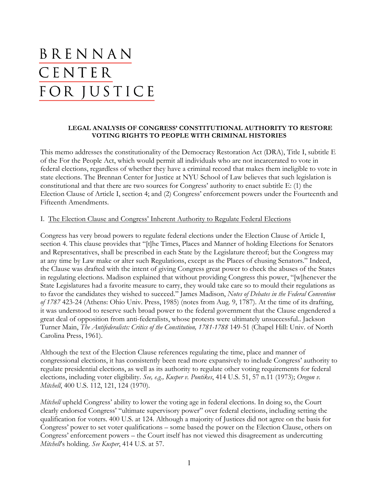# BRENNAN CENTER FOR JUSTICE

## **LEGAL ANALYSIS OF CONGRESS' CONSTITUTIONAL AUTHORITY TO RESTORE VOTING RIGHTS TO PEOPLE WITH CRIMINAL HISTORIES**

This memo addresses the constitutionality of the Democracy Restoration Act (DRA), Title I, subtitle E of the For the People Act, which would permit all individuals who are not incarcerated to vote in federal elections, regardless of whether they have a criminal record that makes them ineligible to vote in state elections. The Brennan Center for Justice at NYU School of Law believes that such legislation is constitutional and that there are two sources for Congress' authority to enact subtitle E: (1) the Election Clause of Article I, section 4; and (2) Congress' enforcement powers under the Fourteenth and Fifteenth Amendments.

#### I. The Election Clause and Congress' Inherent Authority to Regulate Federal Elections

Congress has very broad powers to regulate federal elections under the Election Clause of Article I, section 4. This clause provides that "[t]he Times, Places and Manner of holding Elections for Senators and Representatives, shall be prescribed in each State by the Legislature thereof; but the Congress may at any time by Law make or alter such Regulations, except as the Places of chusing Senators." Indeed, the Clause was drafted with the intent of giving Congress great power to check the abuses of the States in regulating elections. Madison explained that without providing Congress this power, "[w]henever the State Legislatures had a favorite measure to carry, they would take care so to mould their regulations as to favor the candidates they wished to succeed." James Madison, *Notes of Debates in the Federal Convention of 1787* 423-24 (Athens: Ohio Univ. Press, 1985) (notes from Aug. 9, 1787). At the time of its drafting, it was understood to reserve such broad power to the federal government that the Clause engendered a great deal of opposition from anti-federalists, whose protests were ultimately unsuccessful.. Jackson Turner Main, *The Antifederalists: Critics of the Constitution, 1781-1788* 149-51 (Chapel Hill: Univ. of North Carolina Press, 1961).

Although the text of the Election Clause references regulating the time, place and manner of congressional elections, it has consistently been read more expansively to include Congress' authority to regulate presidential elections, as well as its authority to regulate other voting requirements for federal elections, including voter eligibility. *See, e.g., Kusper v. Pontikes*, 414 U.S. 51, 57 n.11 (1973); *Oregon v. Mitchell*, 400 U.S. 112, 121, 124 (1970).

*Mitchell* upheld Congress' ability to lower the voting age in federal elections. In doing so, the Court clearly endorsed Congress' "ultimate supervisory power" over federal elections, including setting the qualification for voters. 400 U.S. at 124. Although a majority of Justices did not agree on the basis for Congress' power to set voter qualifications – some based the power on the Election Clause, others on Congress' enforcement powers – the Court itself has not viewed this disagreement as undercutting *Mitchell*'s holding. *See Kusper*, 414 U.S. at 57.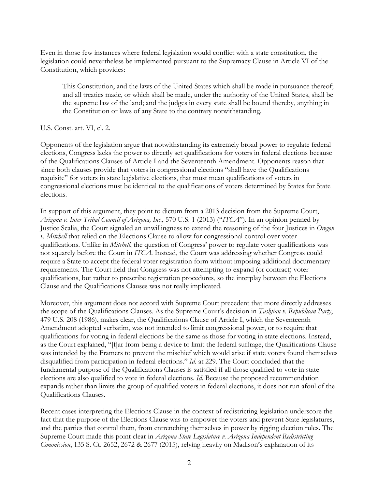Even in those few instances where federal legislation would conflict with a state constitution, the legislation could nevertheless be implemented pursuant to the Supremacy Clause in Article VI of the Constitution, which provides:

This Constitution, and the laws of the United States which shall be made in pursuance thereof; and all treaties made, or which shall be made, under the authority of the United States, shall be the supreme law of the land; and the judges in every state shall be bound thereby, anything in the Constitution or laws of any State to the contrary notwithstanding.

U.S. Const. art. VI, cl. 2.

Opponents of the legislation argue that notwithstanding its extremely broad power to regulate federal elections, Congress lacks the power to directly set qualifications for voters in federal elections because of the Qualifications Clauses of Article I and the Seventeenth Amendment. Opponents reason that since both clauses provide that voters in congressional elections "shall have the Qualifications requisite" for voters in state legislative elections, that must mean qualifications of voters in congressional elections must be identical to the qualifications of voters determined by States for State elections.

In support of this argument, they point to dictum from a 2013 decision from the Supreme Court, *Arizona v. Inter Tribal Council of Arizona, Inc.*, 570 U.S. 1 (2013) ("*ITCA*"). In an opinion penned by Justice Scalia, the Court signaled an unwillingness to extend the reasoning of the four Justices in *Oregon v. Mitchell* that relied on the Elections Clause to allow for congressional control over voter qualifications. Unlike in *Mitchell*, the question of Congress' power to regulate voter qualifications was not squarely before the Court in *ITCA*. Instead, the Court was addressing whether Congress could require a State to accept the federal voter registration form without imposing additional documentary requirements. The Court held that Congress was not attempting to expand (or contract) voter qualifications, but rather to prescribe registration procedures, so the interplay between the Elections Clause and the Qualifications Clauses was not really implicated.

Moreover, this argument does not accord with Supreme Court precedent that more directly addresses the scope of the Qualifications Clauses. As the Supreme Court's decision in *Tashjian v. Republican Party*, 479 U.S. 208 (1986), makes clear, the Qualifications Clause of Article I, which the Seventeenth Amendment adopted verbatim, was not intended to limit congressional power, or to require that qualifications for voting in federal elections be the same as those for voting in state elections. Instead, as the Court explained, "[f]ar from being a device to limit the federal suffrage, the Qualifications Clause was intended by the Framers to prevent the mischief which would arise if state voters found themselves disqualified from participation in federal elections." *Id.* at 229. The Court concluded that the fundamental purpose of the Qualifications Clauses is satisfied if all those qualified to vote in state elections are also qualified to vote in federal elections. *Id.* Because the proposed recommendation expands rather than limits the group of qualified voters in federal elections, it does not run afoul of the Qualifications Clauses.

Recent cases interpreting the Elections Clause in the context of redistricting legislation underscore the fact that the purpose of the Elections Clause was to empower the voters and prevent State legislatures, and the parties that control them, from entrenching themselves in power by rigging election rules. The Supreme Court made this point clear in *Arizona State Legislature v. Arizona Independent Redistricting Commission*, 135 S. Ct. 2652, 2672 & 2677 (2015), relying heavily on Madison's explanation of its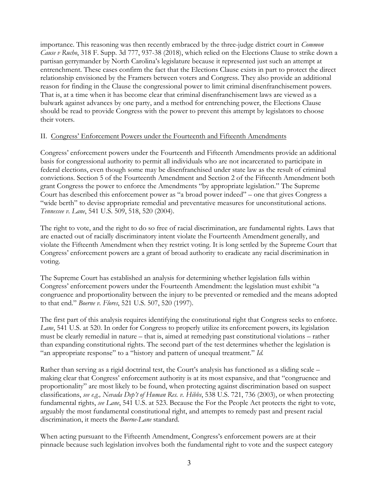importance. This reasoning was then recently embraced by the three-judge district court in *Common Cause v Rucho*, 318 F. Supp. 3d 777, 937-38 (2018), which relied on the Elections Clause to strike down a partisan gerrymander by North Carolina's legislature because it represented just such an attempt at entrenchment. These cases confirm the fact that the Elections Clause exists in part to protect the direct relationship envisioned by the Framers between voters and Congress. They also provide an additional reason for finding in the Clause the congressional power to limit criminal disenfranchisement powers. That is, at a time when it has become clear that criminal disenfranchisement laws are viewed as a bulwark against advances by one party, and a method for entrenching power, the Elections Clause should be read to provide Congress with the power to prevent this attempt by legislators to choose their voters.

## II. Congress' Enforcement Powers under the Fourteenth and Fifteenth Amendments

Congress' enforcement powers under the Fourteenth and Fifteenth Amendments provide an additional basis for congressional authority to permit all individuals who are not incarcerated to participate in federal elections, even though some may be disenfranchised under state law as the result of criminal convictions. Section 5 of the Fourteenth Amendment and Section 2 of the Fifteenth Amendment both grant Congress the power to enforce the Amendments "by appropriate legislation." The Supreme Court has described this enforcement power as "a broad power indeed" – one that gives Congress a "wide berth" to devise appropriate remedial and preventative measures for unconstitutional actions. *Tennessee v. Lane*, 541 U.S. 509, 518, 520 (2004).

The right to vote, and the right to do so free of racial discrimination, are fundamental rights. Laws that are enacted out of racially discriminatory intent violate the Fourteenth Amendment generally, and violate the Fifteenth Amendment when they restrict voting. It is long settled by the Supreme Court that Congress' enforcement powers are a grant of broad authority to eradicate any racial discrimination in voting.

The Supreme Court has established an analysis for determining whether legislation falls within Congress' enforcement powers under the Fourteenth Amendment: the legislation must exhibit "a congruence and proportionality between the injury to be prevented or remedied and the means adopted to that end." *Boerne v. Flores*, 521 U.S. 507, 520 (1997).

The first part of this analysis requires identifying the constitutional right that Congress seeks to enforce. Lane, 541 U.S. at 520. In order for Congress to properly utilize its enforcement powers, its legislation must be clearly remedial in nature – that is, aimed at remedying past constitutional violations – rather than expanding constitutional rights. The second part of the test determines whether the legislation is "an appropriate response" to a "history and pattern of unequal treatment." *Id.* 

Rather than serving as a rigid doctrinal test, the Court's analysis has functioned as a sliding scale – making clear that Congress' enforcement authority is at its most expansive, and that "congruence and proportionality" are most likely to be found, when protecting against discrimination based on suspect classifications, *see e.g., Nevada Dep't of Human Res. v. Hibbs*, 538 U.S. 721, 736 (2003), or when protecting fundamental rights, *see Lane*, 541 U.S. at 523. Because the For the People Act protects the right to vote, arguably the most fundamental constitutional right, and attempts to remedy past and present racial discrimination, it meets the *Boerne-Lane* standard.

When acting pursuant to the Fifteenth Amendment, Congress's enforcement powers are at their pinnacle because such legislation involves both the fundamental right to vote and the suspect category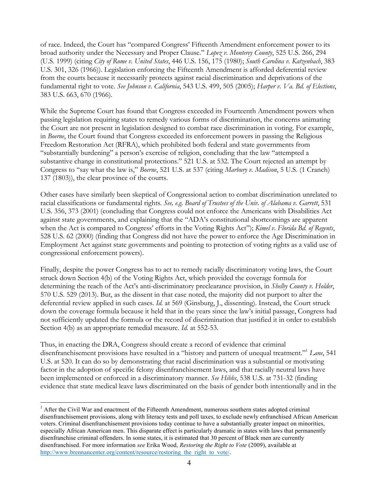of race. Indeed, the Court has "compared Congress' Fifteenth Amendment enforcement power to its broad authority under the Necessary and Proper Clause." *Lopez v. Monterey County*, 525 U.S. 266, 294 (U.S. 1999) (citing *City of Rome v. United States*, 446 U.S. 156, 175 (1980); *South Carolina v. Katzenbach*, 383 U.S. 301, 326 (1966)). Legislation enforcing the Fifteenth Amendment is afforded deferential review from the courts because it necessarily protects against racial discrimination and deprivations of the fundamental right to vote. *See Johnson v. California*, 543 U.S. 499, 505 (2005); *Harper v. Va. Bd. of Elections*, 383 U.S. 663, 670 (1966).

While the Supreme Court has found that Congress exceeded its Fourteenth Amendment powers when passing legislation requiring states to remedy various forms of discrimination, the concerns animating the Court are not present in legislation designed to combat race discrimination in voting. For example, in *Boerne*, the Court found that Congress exceeded its enforcement powers in passing the Religious Freedom Restoration Act (RFRA), which prohibited both federal and state governments from "substantially burdening" a person's exercise of religion, concluding that the law "attempted a substantive change in constitutional protections." 521 U.S. at 532. The Court rejected an attempt by Congress to "say what the law is," *Boerne*, 521 U.S. at 537 (citing *Marbury v. Madison*, 5 U.S. (1 Cranch) 137 (1803)), the clear province of the courts.

Other cases have similarly been skeptical of Congressional action to combat discrimination unrelated to racial classifications or fundamental rights. *See, e.g. Board of Trustees of the Univ. of Alabama v. Garrett*, 531 U.S. 356, 373 (2001) (concluding that Congress could not enforce the Americans with Disabilities Act against state governments, and explaining that the "ADA's constitutional shortcomings are apparent when the Act is compared to Congress' efforts in the Voting Rights Act"); *Kimel v. Florida Bd. of Regents*, 528 U.S. 62 (2000) (finding that Congress did not have the power to enforce the Age Discrimination in Employment Act against state governments and pointing to protection of voting rights as a valid use of congressional enforcement powers).

Finally, despite the power Congress has to act to remedy racially discriminatory voting laws, the Court struck down Section 4(b) of the Voting Rights Act, which provided the coverage formula for determining the reach of the Act's anti-discriminatory preclearance provision, in *Shelby County v. Holder*, 570 U.S. 529 (2013). But, as the dissent in that case noted, the majority did not purport to alter the deferential review applied in such cases. *Id.* at 569 (Ginsburg, J., dissenting). Instead, the Court struck down the coverage formula because it held that in the years since the law's initial passage, Congress had not sufficiently updated the formula or the record of discrimination that justified it in order to establish Section 4(b) as an appropriate remedial measure. *Id.* at 552-53.

Thus, in enacting the DRA, Congress should create a record of evidence that criminal disenfranchisement provisions have resulted in a "history and pattern of unequal treatment."1 *Lane*, 541 U.S. at 520. It can do so by demonstrating that racial discrimination was a substantial or motivating factor in the adoption of specific felony disenfranchisement laws, and that racially neutral laws have been implemented or enforced in a discriminatory manner. *See Hibbs*, 538 U.S. at 731-32 (finding evidence that state medical leave laws discriminated on the basis of gender both intentionally and in the

<u> 1989 - Johann Barn, mars ann an t-Amhain an t-Amhain an t-Amhain an t-Amhain an t-Amhain an t-Amhain an t-Amh</u>

 $1$  After the Civil War and enactment of the Fifteenth Amendment, numerous southern states adopted criminal disenfranchisement provisions, along with literacy tests and poll taxes, to exclude newly enfranchised African American voters. Criminal disenfranchisement provisions today continue to have a substantially greater impact on minorities, especially African American men. This disparate effect is particularly dramatic in states with laws that permanently disenfranchise criminal offenders. In some states, it is estimated that 30 percent of Black men are currently disenfranchised. For more information *see* Erika Wood, *Restoring the Right to Vote* (2009), available at http://www.brennancenter.org/content/resource/restoring the right to vote/.